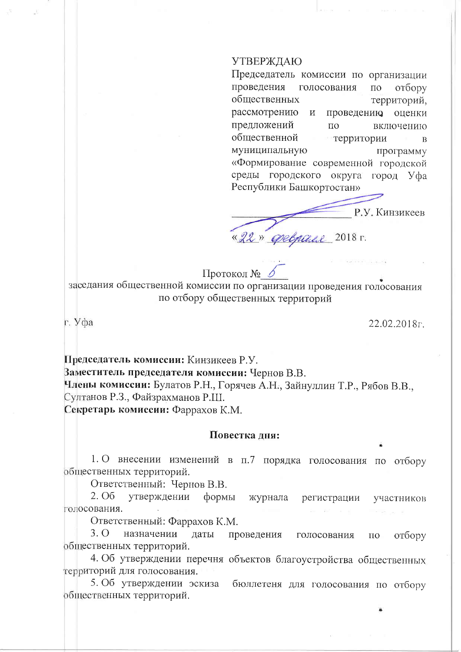## УТВЕРЖДАЮ

Председатель комиссии по организации проведения голосования  $\overline{10}$ отбору общественных территорий, рассмотрению проведению оценки  $\,$  M предложений  $\Pi$ <sup>O</sup> включению общественной территории  $\overline{B}$ муниципальную программу «Формирование современной городской среды городского округа город Уфа Республики Башкортостан»

Р.У. Кинзикеев «22» Opelpaul 2018 r.

Протокол №

заседания общественной комиссии по организации проведения голосования по отбору общественных территорий

г. Уфа

22.02.2018<sub>r</sub>

Председатель комиссии: Кинзикеев Р.У. Ваместитель председателя комиссии: Чернов В.В. Члены комиссии: Булатов Р.Н., Горячев А.Н., Зайнуллин Т.Р., Рябов В.В., Султанов Р.З., Файзрахманов Р.Ш. Секретарь комиссии: Фаррахов К.М.

## Повестка лня:

1. О внесении изменений в п.7 порядка голосования по отбору общественных территорий.

Ответственный: Чернов В.В.

2. O<sub>6</sub> утверждении формы журнала регистрации участников голосования.

Ответственный: Фаррахов К.М.

 $3.0$ назначении даты проведения голосования отбору  $\Pi$ O общественных территорий.

4. Об утверждении перечня объектов благоустройства общественных территорий для голосования.

5. Об утверждении эскиза бюллетеня для голосования по отбору общественных территорий.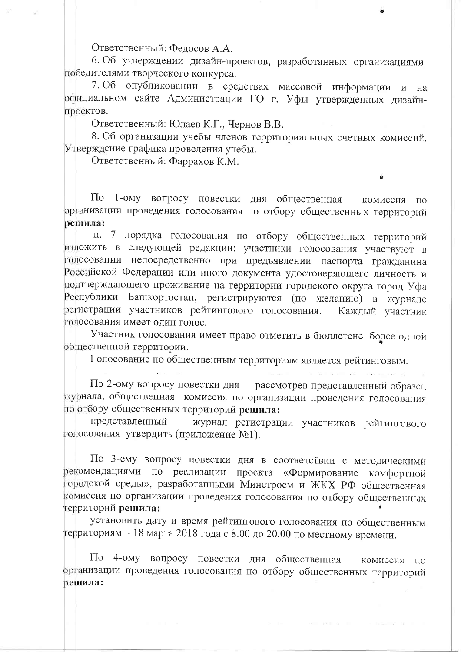Ответственный: Федосов А.А.

6. Об утверждении дизайн-проектов, разработанных организациямипобедителями творческого конкурса.

7. Об опубликовании в средствах массовой информации и на официальном сайте Администрации ГО г. Уфы утвержденных дизайнпроектов.

Ответственный: Юлаев К.Г., Чернов В.В.

8. Об организации учебы членов территориальных счетных комиссий. Утверждение графика проведения учебы.

Ответственный: Фаррахов К.М.

 $\Pi$ <sub>o</sub> 1-ому вопросу повестки дня общественная комиссия по организации проведения голосования по отбору общественных территорий решила:

п. 7 порядка голосования по отбору общественных территорий изложить в следующей редакции: участники голосования участвуют в голосовании непосредственно при предъявлении паспорта гражданина Российской Федерации или иного документа удостоверяющего личность и подтверждающего проживание на территории городского округа город Уфа Республики Башкортостан, регистрируются (по желанию) в журнале регистрации участников рейтингового голосования. Каждый участник голосования имеет один голос.

Участник голосования имеет право отметить в бюллетене более одной общественной территории.

Голосование по общественным территориям является рейтинговым.

По 2-ому вопросу повестки дня рассмотрев представленный образец журнала, общественная комиссия по организации проведения голосования по отбору общественных территорий решила:

представленный журнал регистрации участников рейтингового голосования утвердить (приложение №1).

По 3-ему вопросу повестки дня в соответствии с методическими рекомендациями по реализации проекта «Формирование комфортной городской среды», разработанными Минстроем и ЖКХ РФ общественная комиссия по организации проведения голосования по отбору общественных территорий решила:

установить дату и время рейтингового голосования по общественным территориям - 18 марта 2018 года с 8.00 до 20.00 по местному времени.

По 4-ому вопросу повестки дня общественная комиссия по организации проведения голосования по отбору общественных территорий решила: